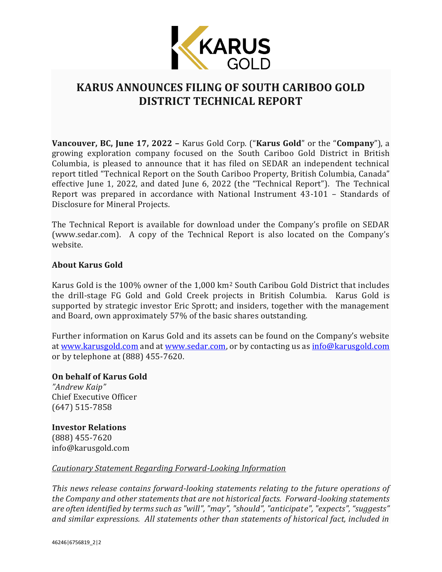

## **KARUS ANNOUNCES FILING OF SOUTH CARIBOO GOLD DISTRICT TECHNICAL REPORT**

**Vancouver, BC, June 17, 2022 –** Karus Gold Corp. ("**Karus Gold**" or the "**Company**"), a growing exploration company focused on the South Cariboo Gold District in British Columbia, is pleased to announce that it has filed on SEDAR an independent technical report titled "Technical Report on the South Cariboo Property, British Columbia, Canada" effective June 1, 2022, and dated June 6, 2022 (the "Technical Report"). The Technical Report was prepared in accordance with National Instrument 43-101 – Standards of Disclosure for Mineral Projects.

The Technical Report is available for download under the Company's profile on SEDAR (www.sedar.com). A copy of the Technical Report is also located on the Company's website.

## **About Karus Gold**

Karus Gold is the 100% owner of the 1,000 km<sup>2</sup> South Caribou Gold District that includes the drill-stage FG Gold and Gold Creek projects in British Columbia. Karus Gold is supported by strategic investor Eric Sprott; and insiders, together with the management and Board, own approximately 57% of the basic shares outstanding.

Further information on Karus Gold and its assets can be found on the Company's website at [www.karusgold.com](http://www.karusgold.com/) and at [www.sedar.com,](http://www.sedar.com/) or by contacting us as [info@karusgold.com](mailto:info@karusgold.com) or by telephone at (888) 455-7620.

## **On behalf of Karus Gold**

*"Andrew Kaip"* Chief Executive Officer (647) 515-7858

**Investor Relations** (888) 455-7620 info@karusgold.com

## *Cautionary Statement Regarding Forward-Looking Information*

*This news release contains forward-looking statements relating to the future operations of the Company and other statements that are not historical facts. Forward-looking statements are often identified by terms such as "will", "may", "should", "anticipate", "expects", "suggests" and similar expressions. All statements other than statements of historical fact, included in*